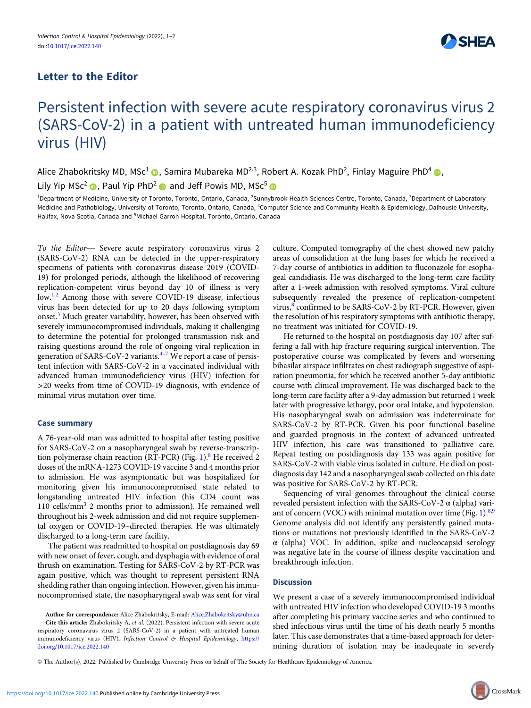## Letter to the Editor



# Persistent infection with severe acute respiratory coronavirus virus 2 (SARS-CoV-2) in a patient with untreated human immunodeficiency virus (HIV)

Alice Zhabokritsky MD, MSc<sup>1</sup> (D. Samira Mubareka MD<sup>2,3</sup>, Robert A. Kozak PhD<sup>2</sup>, Finlay Maguire PhD<sup>4</sup> (D.

Lily Yip MSc<sup>2</sup> **.** Paul Yip PhD<sup>2</sup> and Jeff Powis MD, MSc<sup>5</sup> **a** 

<sup>1</sup>Department of Medicine, University of Toronto, Toronto, Ontario, Canada, <sup>2</sup>Sunnybrook Health Sciences Centre, Toronto, Canada, <sup>3</sup>Department of Laboratory Medicine and Pathobiology, University of Toronto, Toronto, Ontario, Canada, <sup>4</sup>Computer Science and Community Health & Epidemiology, Dalhousie University, Halifax, Nova Scotia, Canada and <sup>5</sup>Michael Garron Hospital, Toronto, Ontario, Canada

To the Editor— Severe acute respiratory coronavirus virus 2 (SARS-CoV-2) RNA can be detected in the upper-respiratory specimens of patients with coronavirus disease 2019 (COVID-19) for prolonged periods, although the likelihood of recovering replication-competent virus beyond day 10 of illness is very low.<sup>[1,2](#page-1-0)</sup> Among those with severe COVID-19 disease, infectious virus has been detected for up to 20 days following symptom onset.<sup>[3](#page-1-0)</sup> Much greater variability, however, has been observed with severely immunocompromised individuals, making it challenging to determine the potential for prolonged transmission risk and raising questions around the role of ongoing viral replication in generation of SARS-CoV-2 variants. $4-7$  $4-7$  $4-7$  We report a case of persistent infection with SARS-CoV-2 in a vaccinated individual with advanced human immunodeficiency virus (HIV) infection for >20 weeks from time of COVID-19 diagnosis, with evidence of minimal virus mutation over time.

#### Case summary

A 76-year-old man was admitted to hospital after testing positive for SARS-CoV-2 on a nasopharyngeal swab by reverse-transcription polymerase chain reaction (RT-PCR) (Fig.  $1$ ).<sup>8</sup> He received 2 doses of the mRNA-1273 COVID-19 vaccine 3 and 4 months prior to admission. He was asymptomatic but was hospitalized for monitoring given his immunocompromised state related to longstanding untreated HIV infection (his CD4 count was 110 cells/mm<sup>3</sup> 2 months prior to admission). He remained well throughout his 2-week admission and did not require supplemental oxygen or COVID-19–directed therapies. He was ultimately discharged to a long-term care facility.

The patient was readmitted to hospital on postdiagnosis day 69 with new onset of fever, cough, and dysphagia with evidence of oral thrush on examination. Testing for SARS-CoV-2 by RT-PCR was again positive, which was thought to represent persistent RNA shedding rather than ongoing infection. However, given his immunocompromised state, the nasopharyngeal swab was sent for viral culture. Computed tomography of the chest showed new patchy areas of consolidation at the lung bases for which he received a 7-day course of antibiotics in addition to fluconazole for esophageal candidiasis. He was discharged to the long-term care facility after a 1-week admission with resolved symptoms. Viral culture subsequently revealed the presence of replication-competent virus, $\frac{8}{3}$  $\frac{8}{3}$  $\frac{8}{3}$  confirmed to be SARS-CoV-2 by RT-PCR. However, given the resolution of his respiratory symptoms with antibiotic therapy, no treatment was initiated for COVID-19.

He returned to the hospital on postdiagnosis day 107 after suffering a fall with hip fracture requiring surgical intervention. The postoperative course was complicated by fevers and worsening bibasilar airspace infiltrates on chest radiograph suggestive of aspiration pneumonia, for which he received another 5-day antibiotic course with clinical improvement. He was discharged back to the long-term care facility after a 9-day admission but returned 1 week later with progressive lethargy, poor oral intake, and hypotension. His nasopharyngeal swab on admission was indeterminate for SARS-CoV-2 by RT-PCR. Given his poor functional baseline and guarded prognosis in the context of advanced untreated HIV infection, his care was transitioned to palliative care. Repeat testing on postdiagnosis day 133 was again positive for SARS-CoV-2 with viable virus isolated in culture. He died on postdiagnosis day 142 and a nasopharyngeal swab collected on this date was positive for SARS-CoV-2 by RT-PCR.

Sequencing of viral genomes throughout the clinical course revealed persistent infection with the SARS-CoV-2  $\alpha$  (alpha) variant of concern (VOC) with minimal mutation over time (Fig. 1). $8,9$  $8,9$ Genome analysis did not identify any persistently gained mutations or mutations not previously identified in the SARS-CoV-2 α (alpha) VOC. In addition, spike and nucleocapsid serology was negative late in the course of illness despite vaccination and breakthrough infection.

### **Discussion**

We present a case of a severely immunocompromised individual with untreated HIV infection who developed COVID-19 3 months after completing his primary vaccine series and who continued to shed infectious virus until the time of his death nearly 5 months later. This case demonstrates that a time-based approach for determining duration of isolation may be inadequate in severely

© The Author(s), 2022. Published by Cambridge University Press on behalf of The Society for Healthcare Epidemiology of America.

Author for correspondence: Alice Zhabokritsky, E-mail: [Alice.Zhabokritsky@uhn.ca](mailto:Alice.Zhabokritsky@uhn.ca) Cite this article: Zhabokritsky A, et al. (2022). Persistent infection with severe acute respiratory coronavirus virus 2 (SARS-CoV-2) in a patient with untreated human immunodeficiency virus (HIV). Infection Control & Hospital Epidemiology, [https://](https://doi.org/10.1017/ice.2022.140) [doi.org/10.1017/ice.2022.140](https://doi.org/10.1017/ice.2022.140)